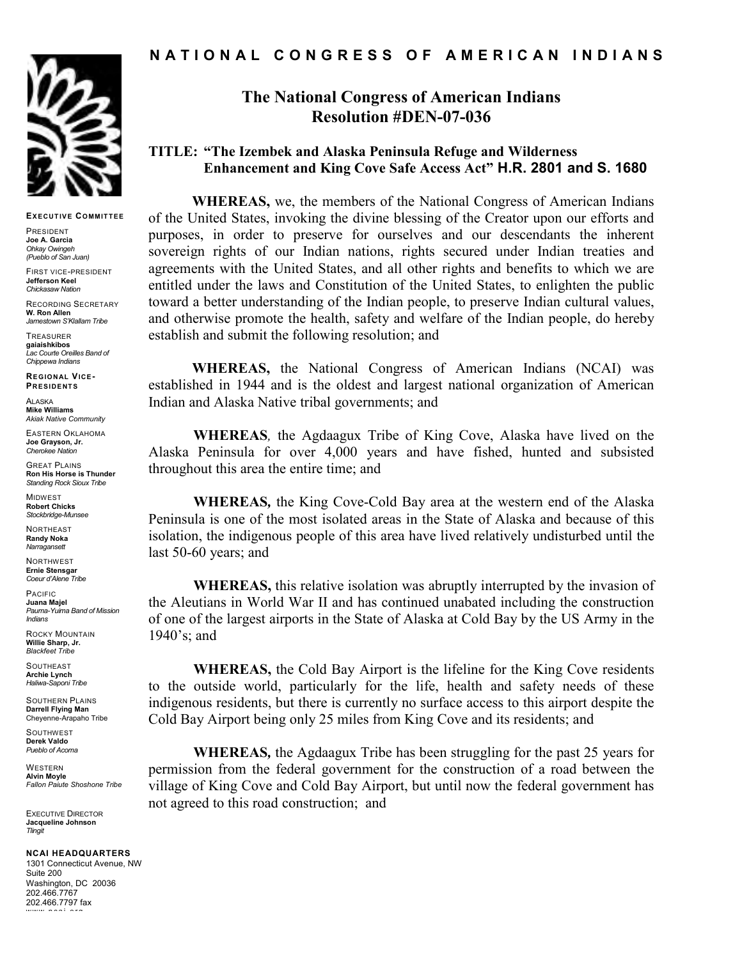

#### EXFCUTIVE COMMITTEE

PRESIDENT Joe A. Garcia Ohkay Owingeh (Pueblo of San Juan)

FIRST VICE-PRESIDENT Jefferson Keel Chickasaw Nation

RECORDING SECRETARY W. Ron Allen Jamestown S'Klallam Tribe

TREASURER gaiaishkibos Lac Courte Oreilles Band of Chippewa Indians

RE GIONAL VICE-**PRESIDENTS** 

**ALASKA** Mike Williams Akiak Native Community

EASTERN OKLAHOMA Joe Grayson, Jr. Cherokee Nation

**GREAT PLAINS** Ron His Horse is Thunder Standing Rock Sioux Tribe

MIDWEST Robert Chicks Stockbridge-Munsee

**NORTHEAST** Randy Noka Narragansett

NORTHWEST Ernie Stensgar Coeur d'Alene Tribe

PACIFIC Juana Majel Pauma-Yuima Band of Mission Indians

ROCKY MOUNTAIN Willie Sharp, Jr. Blackfeet Tribe

**SOUTHEAST** Archie Lynch Haliwa-Saponi Tribe

SOUTHERN PLAINS Darrell Flying Man Cheyenne-Arapaho Tribe

**SOUTHWEST** Derek Valdo Pueblo of Acoma

WESTERN Alvin Moyle Fallon Paiute Shoshone Tribe

EXECUTIVE DIRECTOR Jacqueline Johnson **Tlingit** 

#### NCAI HEADQUARTERS

1301 Connecticut Avenue, NW Suite 200 Washington, DC 20036 202.466.7767 202.466.7797 fax www naai ara

## N A T I O N A L C O N G R E S S O F A M E R I C A N I N D I A N S

# The National Congress of American Indians Resolution #DEN-07-036

## TITLE: "The Izembek and Alaska Peninsula Refuge and Wilderness Enhancement and King Cove Safe Access Act" H.R. 2801 and S. 1680

WHEREAS, we, the members of the National Congress of American Indians of the United States, invoking the divine blessing of the Creator upon our efforts and purposes, in order to preserve for ourselves and our descendants the inherent sovereign rights of our Indian nations, rights secured under Indian treaties and agreements with the United States, and all other rights and benefits to which we are entitled under the laws and Constitution of the United States, to enlighten the public toward a better understanding of the Indian people, to preserve Indian cultural values, and otherwise promote the health, safety and welfare of the Indian people, do hereby establish and submit the following resolution; and

WHEREAS, the National Congress of American Indians (NCAI) was established in 1944 and is the oldest and largest national organization of American Indian and Alaska Native tribal governments; and

WHEREAS, the Agdaagux Tribe of King Cove, Alaska have lived on the Alaska Peninsula for over 4,000 years and have fished, hunted and subsisted throughout this area the entire time; and

WHEREAS, the King Cove-Cold Bay area at the western end of the Alaska Peninsula is one of the most isolated areas in the State of Alaska and because of this isolation, the indigenous people of this area have lived relatively undisturbed until the last 50-60 years; and

WHEREAS, this relative isolation was abruptly interrupted by the invasion of the Aleutians in World War II and has continued unabated including the construction of one of the largest airports in the State of Alaska at Cold Bay by the US Army in the 1940's; and

WHEREAS, the Cold Bay Airport is the lifeline for the King Cove residents to the outside world, particularly for the life, health and safety needs of these indigenous residents, but there is currently no surface access to this airport despite the Cold Bay Airport being only 25 miles from King Cove and its residents; and

WHEREAS, the Agdaagux Tribe has been struggling for the past 25 years for permission from the federal government for the construction of a road between the village of King Cove and Cold Bay Airport, but until now the federal government has not agreed to this road construction; and